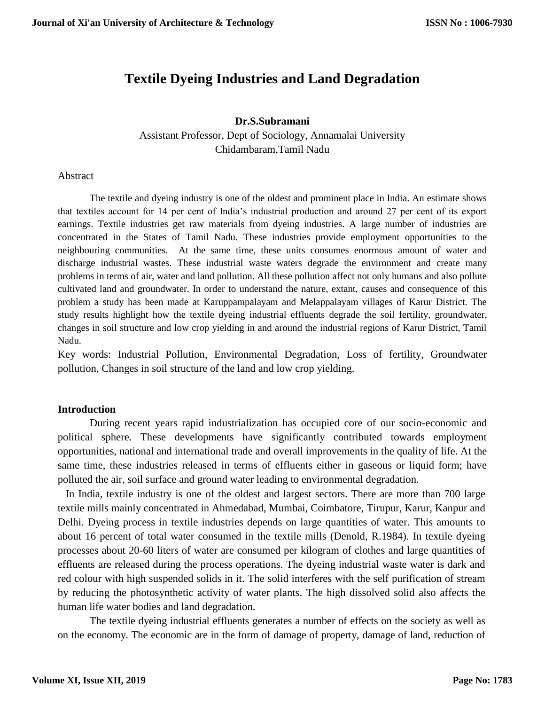# **Textile Dyeing Industries and Land Degradation**

### **Dr.S.Subramani**

Assistant Professor, Dept of Sociology, Annamalai University Chidambaram,Tamil Nadu

Abstract

The textile and dyeing industry is one of the oldest and prominent place in India. An estimate shows that textiles account for 14 per cent of India's industrial production and around 27 per cent of its export earnings. Textile industries get raw materials from dyeing industries. A large number of industries are concentrated in the States of Tamil Nadu. These industries provide employment opportunities to the neighbouring communities. At the same time, these units consumes enormous amount of water and discharge industrial wastes. These industrial waste waters degrade the environment and create many problems in terms of air, water and land pollution. All these pollution affect not only humans and also pollute cultivated land and groundwater. In order to understand the nature, extant, causes and consequence of this problem a study has been made at Karuppampalayam and Melappalayam villages of Karur District. The study results highlight how the textile dyeing industrial effluents degrade the soil fertility, groundwater, changes in soil structure and low crop yielding in and around the industrial regions of Karur District, Tamil Nadu.

Key words: Industrial Pollution, Environmental Degradation, Loss of fertility, Groundwater pollution, Changes in soil structure of the land and low crop yielding.

#### **Introduction**

 During recent years rapid industrialization has occupied core of our socio-economic and political sphere. These developments have significantly contributed towards employment opportunities, national and international trade and overall improvements in the quality of life. At the same time, these industries released in terms of effluents either in gaseous or liquid form; have polluted the air, soil surface and ground water leading to environmental degradation.

 In India, textile industry is one of the oldest and largest sectors. There are more than 700 large textile mills mainly concentrated in Ahmedabad, Mumbai, Coimbatore, Tirupur, Karur, Kanpur and Delhi. Dyeing process in textile industries depends on large quantities of water. This amounts to about 16 percent of total water consumed in the textile mills (Denold, R.1984). In textile dyeing processes about 20-60 liters of water are consumed per kilogram of clothes and large quantities of effluents are released during the process operations. The dyeing industrial waste water is dark and red colour with high suspended solids in it. The solid interferes with the self purification of stream by reducing the photosynthetic activity of water plants. The high dissolved solid also affects the human life water bodies and land degradation.

 The textile dyeing industrial effluents generates a number of effects on the society as well as on the economy. The economic are in the form of damage of property, damage of land, reduction of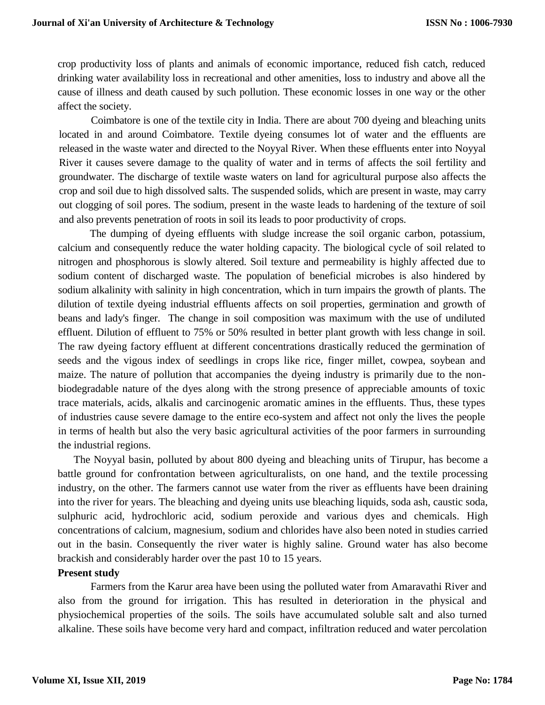crop productivity loss of plants and animals of economic importance, reduced fish catch, reduced drinking water availability loss in recreational and other amenities, loss to industry and above all the cause of illness and death caused by such pollution. These economic losses in one way or the other affect the society.

Coimbatore is one of the textile city in India. There are about 700 dyeing and bleaching units located in and around Coimbatore. Textile dyeing consumes lot of water and the effluents are released in the waste water and directed to the Noyyal River. When these effluents enter into Noyyal River it causes severe damage to the quality of water and in terms of affects the soil fertility and groundwater. The discharge of textile waste waters on land for agricultural purpose also affects the crop and soil due to high dissolved salts. The suspended solids, which are present in waste, may carry out clogging of soil pores. The sodium, present in the waste leads to hardening of the texture of soil and also prevents penetration of roots in soil its leads to poor productivity of crops.

The dumping of dyeing effluents with sludge increase the soil organic carbon, potassium, calcium and consequently reduce the water holding capacity. The biological cycle of soil related to nitrogen and phosphorous is slowly altered. Soil texture and permeability is highly affected due to sodium content of discharged waste. The population of beneficial microbes is also hindered by sodium alkalinity with salinity in high concentration, which in turn impairs the growth of plants. The dilution of textile dyeing industrial effluents affects on soil properties, germination and growth of beans and lady's finger. The change in soil composition was maximum with the use of undiluted effluent. Dilution of effluent to 75% or 50% resulted in better plant growth with less change in soil. The raw dyeing factory effluent at different concentrations drastically reduced the germination of seeds and the vigous index of seedlings in crops like rice, finger millet, cowpea, soybean and maize. The nature of pollution that accompanies the dyeing industry is primarily due to the nonbiodegradable nature of the dyes along with the strong presence of appreciable amounts of toxic trace materials, acids, alkalis and carcinogenic aromatic amines in the effluents. Thus, these types of industries cause severe damage to the entire eco-system and affect not only the lives the people in terms of health but also the very basic agricultural activities of the poor farmers in surrounding the industrial regions.

 The Noyyal basin, polluted by about 800 dyeing and bleaching units of Tirupur, has become a battle ground for confrontation between agriculturalists, on one hand, and the textile processing industry, on the other. The farmers cannot use water from the river as effluents have been draining into the river for years. The bleaching and dyeing units use bleaching liquids, soda ash, caustic soda, sulphuric acid, hydrochloric acid, sodium peroxide and various dyes and chemicals. High concentrations of calcium, magnesium, sodium and chlorides have also been noted in studies carried out in the basin. Consequently the river water is highly saline. Ground water has also become brackish and considerably harder over the past 10 to 15 years.

#### **Present study**

Farmers from the Karur area have been using the polluted water from Amaravathi River and also from the ground for irrigation. This has resulted in deterioration in the physical and physiochemical properties of the soils. The soils have accumulated soluble salt and also turned alkaline. These soils have become very hard and compact, infiltration reduced and water percolation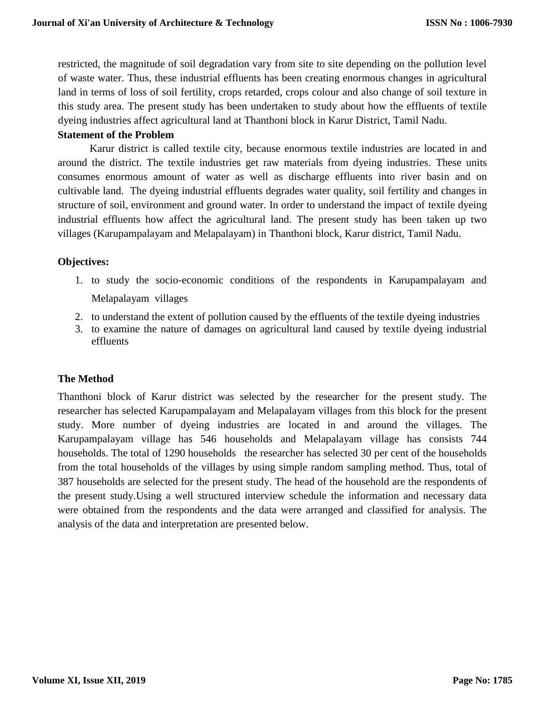restricted, the magnitude of soil degradation vary from site to site depending on the pollution level of waste water. Thus, these industrial effluents has been creating enormous changes in agricultural land in terms of loss of soil fertility, crops retarded, crops colour and also change of soil texture in this study area. The present study has been undertaken to study about how the effluents of textile dyeing industries affect agricultural land at Thanthoni block in Karur District, Tamil Nadu.

### **Statement of the Problem**

Karur district is called textile city, because enormous textile industries are located in and around the district. The textile industries get raw materials from dyeing industries. These units consumes enormous amount of water as well as discharge effluents into river basin and on cultivable land. The dyeing industrial effluents degrades water quality, soil fertility and changes in structure of soil, environment and ground water. In order to understand the impact of textile dyeing industrial effluents how affect the agricultural land. The present study has been taken up two villages (Karupampalayam and Melapalayam) in Thanthoni block, Karur district, Tamil Nadu.

# **Objectives:**

- 1. to study the socio-economic conditions of the respondents in Karupampalayam and Melapalayam villages
- 2. to understand the extent of pollution caused by the effluents of the textile dyeing industries
- 3. to examine the nature of damages on agricultural land caused by textile dyeing industrial effluents

# **The Method**

Thanthoni block of Karur district was selected by the researcher for the present study. The researcher has selected Karupampalayam and Melapalayam villages from this block for the present study. More number of dyeing industries are located in and around the villages. The Karupampalayam village has 546 households and Melapalayam village has consists 744 households. The total of 1290 households the researcher has selected 30 per cent of the households from the total households of the villages by using simple random sampling method. Thus, total of 387 households are selected for the present study. The head of the household are the respondents of the present study.Using a well structured interview schedule the information and necessary data were obtained from the respondents and the data were arranged and classified for analysis. The analysis of the data and interpretation are presented below.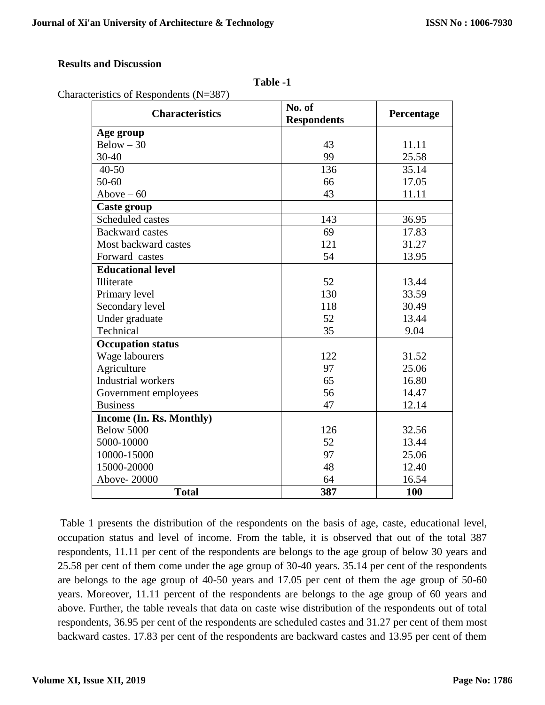# **Results and Discussion**

| anı<br>١t<br>ш |  |
|----------------|--|
|----------------|--|

| <b>Characteristics</b>   | No. of<br><b>Respondents</b> | Percentage |
|--------------------------|------------------------------|------------|
| Age group                |                              |            |
| $Below - 30$             | 43                           | 11.11      |
| 30-40                    | 99                           | 25.58      |
| $40 - 50$                | 136                          | 35.14      |
| 50-60                    | 66                           | 17.05      |
| Above $-60$              | 43                           | 11.11      |
| <b>Caste group</b>       |                              |            |
| Scheduled castes         | 143                          | 36.95      |
| <b>Backward castes</b>   | 69                           | 17.83      |
| Most backward castes     | 121                          | 31.27      |
| Forward castes           | 54                           | 13.95      |
| <b>Educational level</b> |                              |            |
| <b>Illiterate</b>        | 52                           | 13.44      |
| Primary level            | 130                          | 33.59      |
| Secondary level          | 118                          | 30.49      |
| Under graduate           | 52                           | 13.44      |
| Technical                | 35                           | 9.04       |
| <b>Occupation status</b> |                              |            |
| Wage labourers           | 122                          | 31.52      |
| Agriculture              | 97                           | 25.06      |
| Industrial workers       | 65                           | 16.80      |
| Government employees     | 56                           | 14.47      |
| <b>Business</b>          | 47                           | 12.14      |
| Income (In. Rs. Monthly) |                              |            |
| Below 5000               | 126                          | 32.56      |
| 5000-10000               | 52                           | 13.44      |
| 10000-15000              | 97                           | 25.06      |
| 15000-20000              | 48                           | 12.40      |
| Above-20000              | 64                           | 16.54      |
| <b>Total</b>             | 387                          | 100        |

Table 1 presents the distribution of the respondents on the basis of age, caste, educational level, occupation status and level of income. From the table, it is observed that out of the total 387 respondents, 11.11 per cent of the respondents are belongs to the age group of below 30 years and 25.58 per cent of them come under the age group of 30-40 years. 35.14 per cent of the respondents are belongs to the age group of 40-50 years and 17.05 per cent of them the age group of 50-60 years. Moreover, 11.11 percent of the respondents are belongs to the age group of 60 years and above. Further, the table reveals that data on caste wise distribution of the respondents out of total respondents, 36.95 per cent of the respondents are scheduled castes and 31.27 per cent of them most backward castes. 17.83 per cent of the respondents are backward castes and 13.95 per cent of them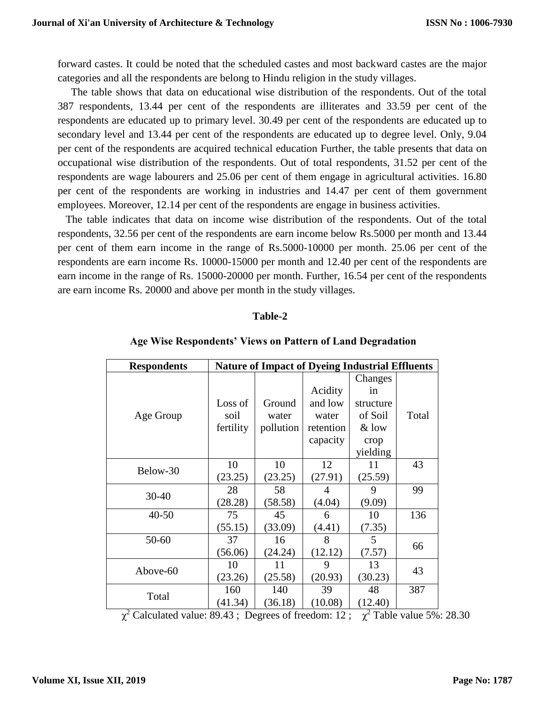forward castes. It could be noted that the scheduled castes and most backward castes are the major categories and all the respondents are belong to Hindu religion in the study villages.

 The table shows that data on educational wise distribution of the respondents. Out of the total 387 respondents, 13.44 per cent of the respondents are illiterates and 33.59 per cent of the respondents are educated up to primary level. 30.49 per cent of the respondents are educated up to secondary level and 13.44 per cent of the respondents are educated up to degree level. Only, 9.04 per cent of the respondents are acquired technical education Further, the table presents that data on occupational wise distribution of the respondents. Out of total respondents, 31.52 per cent of the respondents are wage labourers and 25.06 per cent of them engage in agricultural activities. 16.80 per cent of the respondents are working in industries and 14.47 per cent of them government employees. Moreover, 12.14 per cent of the respondents are engage in business activities.

 The table indicates that data on income wise distribution of the respondents. Out of the total respondents, 32.56 per cent of the respondents are earn income below Rs.5000 per month and 13.44 per cent of them earn income in the range of Rs.5000-10000 per month. 25.06 per cent of the respondents are earn income Rs. 10000-15000 per month and 12.40 per cent of the respondents are earn income in the range of Rs. 15000-20000 per month. Further, 16.54 per cent of the respondents are earn income Rs. 20000 and above per month in the study villages.

#### **Table-2**

| <b>Respondents</b> | <b>Nature of Impact of Dyeing Industrial Effluents</b> |                              |                                                      |                                                                      |       |  |  |  |
|--------------------|--------------------------------------------------------|------------------------------|------------------------------------------------------|----------------------------------------------------------------------|-------|--|--|--|
| Age Group          | Loss of<br>soil<br>fertility                           | Ground<br>water<br>pollution | Acidity<br>and low<br>water<br>retention<br>capacity | Changes<br>in<br>structure<br>of Soil<br>$&$ low<br>crop<br>yielding | Total |  |  |  |
| Below-30           | 10<br>(23.25)                                          | 10<br>(23.25)                | 12<br>(27.91)                                        | 11<br>(25.59)                                                        | 43    |  |  |  |
| $30 - 40$          | 28<br>(28.28)                                          | 58<br>(58.58)                | 4<br>(4.04)                                          | 9<br>(9.09)                                                          | 99    |  |  |  |
| $40 - 50$          | 75<br>(55.15)                                          | 45<br>(33.09)                | 6<br>(4.41)                                          | 10<br>(7.35)                                                         | 136   |  |  |  |
| $50 - 60$          | 37<br>(56.06)                                          | 16<br>(24.24)                | 8<br>(12.12)                                         | 5<br>(7.57)                                                          | 66    |  |  |  |
| Above-60           | 10<br>(23.26)                                          | 11<br>(25.58)                | 9<br>(20.93)                                         | 13<br>(30.23)                                                        | 43    |  |  |  |
| Total              | 160<br>(41.34)                                         | 140<br>(36.18)               | 39<br>(10.08)                                        | 48<br>(12.40)                                                        | 387   |  |  |  |

#### **Age Wise Respondents' Views on Pattern of Land Degradation**

 $\chi^2$  Calculated value: 89.43; Degrees of freedom: 12;  $\chi^2$  Table value 5%: 28.30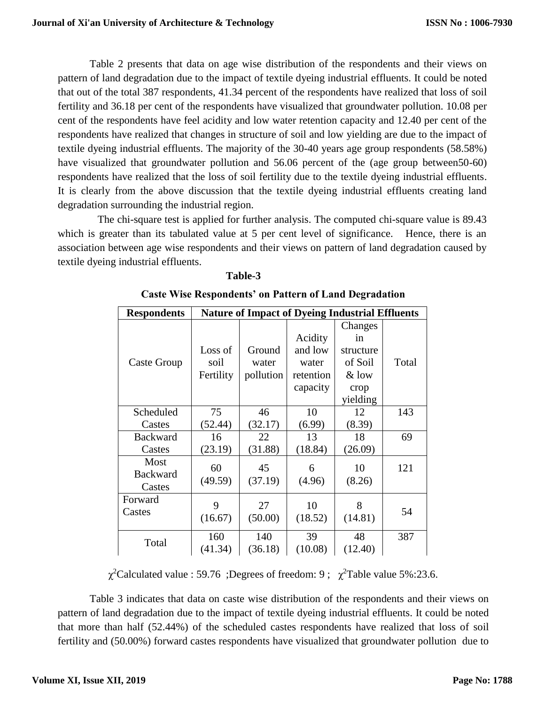Table 2 presents that data on age wise distribution of the respondents and their views on pattern of land degradation due to the impact of textile dyeing industrial effluents. It could be noted that out of the total 387 respondents, 41.34 percent of the respondents have realized that loss of soil fertility and 36.18 per cent of the respondents have visualized that groundwater pollution. 10.08 per cent of the respondents have feel acidity and low water retention capacity and 12.40 per cent of the respondents have realized that changes in structure of soil and low yielding are due to the impact of textile dyeing industrial effluents. The majority of the 30-40 years age group respondents (58.58%) have visualized that groundwater pollution and 56.06 percent of the (age group between50-60) respondents have realized that the loss of soil fertility due to the textile dyeing industrial effluents. It is clearly from the above discussion that the textile dyeing industrial effluents creating land degradation surrounding the industrial region.

 The chi-square test is applied for further analysis. The computed chi-square value is 89.43 which is greater than its tabulated value at 5 per cent level of significance. Hence, there is an association between age wise respondents and their views on pattern of land degradation caused by textile dyeing industrial effluents.

| <b>Respondents</b>                | <b>Nature of Impact of Dyeing Industrial Effluents</b> |                              |                                                      |                                                                      |       |  |  |  |
|-----------------------------------|--------------------------------------------------------|------------------------------|------------------------------------------------------|----------------------------------------------------------------------|-------|--|--|--|
| Caste Group                       | Loss of<br>soil<br>Fertility                           | Ground<br>water<br>pollution | Acidity<br>and low<br>water<br>retention<br>capacity | Changes<br>in<br>structure<br>of Soil<br>$&$ low<br>crop<br>yielding | Total |  |  |  |
| Scheduled                         | 75                                                     | 46                           | 10                                                   | 12                                                                   | 143   |  |  |  |
| Castes                            | (52.44)                                                | (32.17)                      | (6.99)                                               | (8.39)                                                               |       |  |  |  |
| <b>Backward</b>                   | 16                                                     | 22                           | 13                                                   | 18                                                                   | 69    |  |  |  |
| Castes                            | (23.19)                                                | (31.88)                      | (18.84)                                              | (26.09)                                                              |       |  |  |  |
| Most<br><b>Backward</b><br>Castes | 60<br>(49.59)                                          | 45<br>(37.19)                | 6<br>(4.96)                                          | 10<br>(8.26)                                                         | 121   |  |  |  |
| Forward<br>Castes                 | 9<br>(16.67)                                           | 27<br>(50.00)                | 10<br>(18.52)                                        | 8<br>(14.81)                                                         | 54    |  |  |  |
| Total                             | 160<br>(41.34)                                         | 140<br>(36.18)               | 39<br>(10.08)                                        | 48<br>(12.40)                                                        | 387   |  |  |  |

|  | <b>Caste Wise Respondents' on Pattern of Land Degradation</b> |  |  |  |
|--|---------------------------------------------------------------|--|--|--|
|  |                                                               |  |  |  |

**Table-3**

 $\chi^2$ Calculated value : 59.76 ;Degrees of freedom: 9;  $\chi^2$ Table value 5%:23.6.

Table 3 indicates that data on caste wise distribution of the respondents and their views on pattern of land degradation due to the impact of textile dyeing industrial effluents. It could be noted that more than half (52.44%) of the scheduled castes respondents have realized that loss of soil fertility and (50.00%) forward castes respondents have visualized that groundwater pollution due to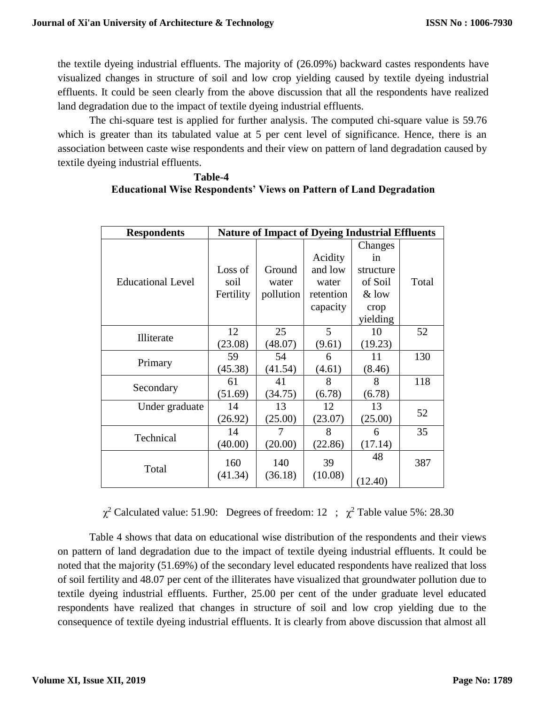the textile dyeing industrial effluents. The majority of (26.09%) backward castes respondents have visualized changes in structure of soil and low crop yielding caused by textile dyeing industrial effluents. It could be seen clearly from the above discussion that all the respondents have realized land degradation due to the impact of textile dyeing industrial effluents.

The chi-square test is applied for further analysis. The computed chi-square value is 59.76 which is greater than its tabulated value at 5 per cent level of significance. Hence, there is an association between caste wise respondents and their view on pattern of land degradation caused by textile dyeing industrial effluents.

# **Table-4 Educational Wise Respondents' Views on Pattern of Land Degradation**

| <b>Respondents</b>       |                 | <b>Nature of Impact of Dyeing Industrial Effluents</b> |                  |                          |       |  |  |  |  |
|--------------------------|-----------------|--------------------------------------------------------|------------------|--------------------------|-------|--|--|--|--|
|                          |                 |                                                        | Acidity          | Changes<br><sub>in</sub> |       |  |  |  |  |
| <b>Educational Level</b> | Loss of<br>soil | Ground<br>water                                        | and low<br>water | structure<br>of Soil     | Total |  |  |  |  |
|                          | Fertility       | pollution                                              | retention        | $&$ low                  |       |  |  |  |  |
|                          |                 |                                                        | capacity         | crop                     |       |  |  |  |  |
|                          |                 |                                                        |                  | yielding                 |       |  |  |  |  |
|                          | 12              | 25                                                     | 5                | 10                       | 52    |  |  |  |  |
| Illiterate               | (23.08)         | (48.07)                                                | (9.61)           | (19.23)                  |       |  |  |  |  |
| Primary                  | 59              | 54                                                     | 6                | 11                       | 130   |  |  |  |  |
|                          | (45.38)         | (41.54)                                                | (4.61)           | (8.46)                   |       |  |  |  |  |
| Secondary                | 61              | 41                                                     | 8                | 8                        | 118   |  |  |  |  |
|                          | (51.69)         | (34.75)                                                | (6.78)           | (6.78)                   |       |  |  |  |  |
| Under graduate           | 14              | 13                                                     | 12               | 13                       | 52    |  |  |  |  |
|                          | (26.92)         | (25.00)                                                | (23.07)          | (25.00)                  |       |  |  |  |  |
| Technical                | 14              |                                                        | 8                | 6                        | 35    |  |  |  |  |
|                          | (40.00)         | (20.00)                                                | (22.86)          | (17.14)                  |       |  |  |  |  |
| Total                    | 160<br>(41.34)  | 140<br>(36.18)                                         | 39<br>(10.08)    | 48                       | 387   |  |  |  |  |
|                          |                 |                                                        |                  | (12.40)                  |       |  |  |  |  |

 $\chi^2$  Calculated value: 51.90: Degrees of freedom: 12 ;  $\chi^2$  Table value 5%: 28.30

Table 4 shows that data on educational wise distribution of the respondents and their views on pattern of land degradation due to the impact of textile dyeing industrial effluents. It could be noted that the majority (51.69%) of the secondary level educated respondents have realized that loss of soil fertility and 48.07 per cent of the illiterates have visualized that groundwater pollution due to textile dyeing industrial effluents. Further, 25.00 per cent of the under graduate level educated respondents have realized that changes in structure of soil and low crop yielding due to the consequence of textile dyeing industrial effluents. It is clearly from above discussion that almost all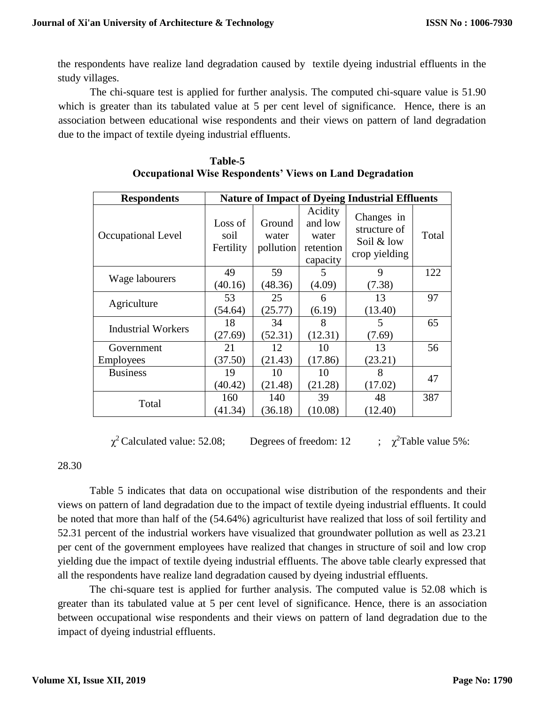the respondents have realize land degradation caused by textile dyeing industrial effluents in the study villages.

The chi-square test is applied for further analysis. The computed chi-square value is 51.90 which is greater than its tabulated value at 5 per cent level of significance. Hence, there is an association between educational wise respondents and their views on pattern of land degradation due to the impact of textile dyeing industrial effluents.

| <b>Respondents</b>        |                              |                              |                                                      | <b>Nature of Impact of Dyeing Industrial Effluents</b>    |       |
|---------------------------|------------------------------|------------------------------|------------------------------------------------------|-----------------------------------------------------------|-------|
| Occupational Level        | Loss of<br>soil<br>Fertility | Ground<br>water<br>pollution | Acidity<br>and low<br>water<br>retention<br>capacity | Changes in<br>structure of<br>Soil & low<br>crop yielding | Total |
| Wage labourers            | 49                           | 59                           | 5                                                    | 9                                                         | 122   |
|                           | (40.16)                      | (48.36)                      | (4.09)                                               | (7.38)                                                    |       |
|                           | 53                           | 25                           | 6                                                    | 13                                                        | 97    |
| Agriculture               | (54.64)                      | (25.77)                      | (6.19)                                               | (13.40)                                                   |       |
| <b>Industrial Workers</b> | 18                           | 34                           | 8                                                    | 5                                                         | 65    |
|                           | (27.69)                      | (52.31)                      | (12.31)                                              | (7.69)                                                    |       |
| Government                | 21                           | 12                           | 10                                                   | 13                                                        | 56    |
| <b>Employees</b>          | (37.50)                      | (21.43)                      | (17.86)                                              | (23.21)                                                   |       |
| <b>Business</b>           | 19                           | 10                           | 10                                                   | 8                                                         | 47    |
|                           | (40.42)                      | (21.48)                      | (21.28)                                              | (17.02)                                                   |       |
|                           | 160                          | 140                          | 39                                                   | 48                                                        | 387   |
| Total                     | (41.34)                      | (36.18)                      | (10.08)                                              | (12.40)                                                   |       |

| <b>Table-5</b>                                                  |  |
|-----------------------------------------------------------------|--|
| <b>Occupational Wise Respondents' Views on Land Degradation</b> |  |

 $\chi^2$  Calculated value: 52.08; Degrees of freedom: 12  $\chi^2$ Table value 5%:

# 28.30

Table 5 indicates that data on occupational wise distribution of the respondents and their views on pattern of land degradation due to the impact of textile dyeing industrial effluents. It could be noted that more than half of the (54.64%) agriculturist have realized that loss of soil fertility and 52.31 percent of the industrial workers have visualized that groundwater pollution as well as 23.21 per cent of the government employees have realized that changes in structure of soil and low crop yielding due the impact of textile dyeing industrial effluents. The above table clearly expressed that all the respondents have realize land degradation caused by dyeing industrial effluents.

The chi-square test is applied for further analysis. The computed value is 52.08 which is greater than its tabulated value at 5 per cent level of significance. Hence, there is an association between occupational wise respondents and their views on pattern of land degradation due to the impact of dyeing industrial effluents.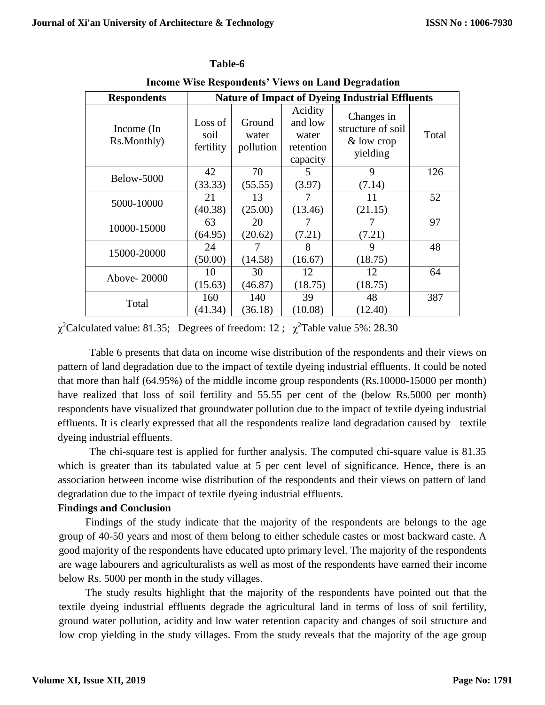| <b>Respondents</b>        | <b>Nature of Impact of Dyeing Industrial Effluents</b> |                              |                                                      |                                                           |       |  |  |
|---------------------------|--------------------------------------------------------|------------------------------|------------------------------------------------------|-----------------------------------------------------------|-------|--|--|
| Income (In<br>Rs.Monthly) | Loss of<br>soil<br>fertility                           | Ground<br>water<br>pollution | Acidity<br>and low<br>water<br>retention<br>capacity | Changes in<br>structure of soil<br>& low crop<br>yielding | Total |  |  |
| Below-5000                | 42<br>(33.33)                                          | 70<br>(55.55)                | 5<br>(3.97)                                          | 9<br>(7.14)                                               | 126   |  |  |
| 5000-10000                | 21<br>(40.38)                                          | 13<br>(25.00)                | (13.46)                                              | 11<br>(21.15)                                             | 52    |  |  |
| 10000-15000               | 63<br>(64.95)                                          | 20<br>(20.62)                | (7.21)                                               | 7<br>(7.21)                                               | 97    |  |  |
| 15000-20000               | 24<br>(50.00)                                          | 7<br>(14.58)                 | 8<br>(16.67)                                         | 9<br>(18.75)                                              | 48    |  |  |
| Above-20000               | 10<br>(15.63)                                          | 30<br>(46.87)                | 12<br>(18.75)                                        | 12<br>(18.75)                                             | 64    |  |  |
| Total                     | 160<br>(41.34)                                         | 140<br>(36.18)               | 39<br>(10.08)                                        | 48<br>(12.40)                                             | 387   |  |  |

# **Table-6**

**Income Wise Respondents' Views on Land Degradation**

 $\chi^2$ Calculated value: 81.35; Degrees of freedom: 12;  $\chi^2$ Table value 5%: 28.30

Table 6 presents that data on income wise distribution of the respondents and their views on pattern of land degradation due to the impact of textile dyeing industrial effluents. It could be noted that more than half (64.95%) of the middle income group respondents (Rs.10000-15000 per month) have realized that loss of soil fertility and 55.55 per cent of the (below Rs.5000 per month) respondents have visualized that groundwater pollution due to the impact of textile dyeing industrial effluents. It is clearly expressed that all the respondents realize land degradation caused by textile dyeing industrial effluents.

The chi-square test is applied for further analysis. The computed chi-square value is 81.35 which is greater than its tabulated value at 5 per cent level of significance. Hence, there is an association between income wise distribution of the respondents and their views on pattern of land degradation due to the impact of textile dyeing industrial effluents.

# **Findings and Conclusion**

 Findings of the study indicate that the majority of the respondents are belongs to the age group of 40-50 years and most of them belong to either schedule castes or most backward caste. A good majority of the respondents have educated upto primary level. The majority of the respondents are wage labourers and agriculturalists as well as most of the respondents have earned their income below Rs. 5000 per month in the study villages.

 The study results highlight that the majority of the respondents have pointed out that the textile dyeing industrial effluents degrade the agricultural land in terms of loss of soil fertility, ground water pollution, acidity and low water retention capacity and changes of soil structure and low crop yielding in the study villages. From the study reveals that the majority of the age group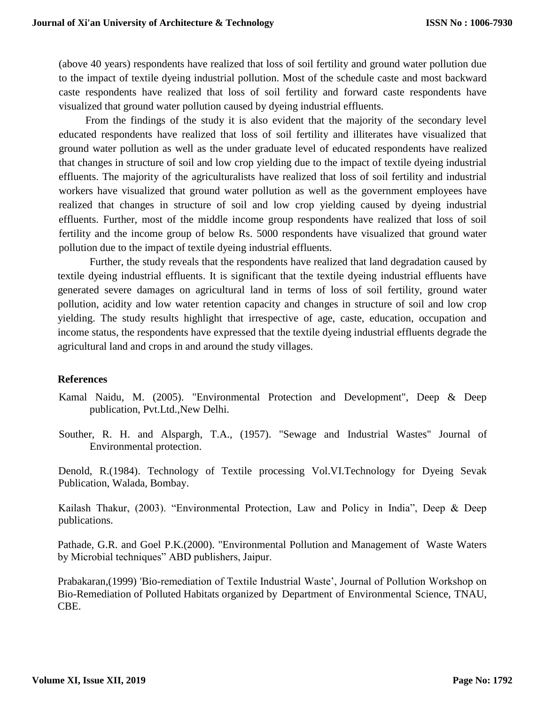(above 40 years) respondents have realized that loss of soil fertility and ground water pollution due to the impact of textile dyeing industrial pollution. Most of the schedule caste and most backward caste respondents have realized that loss of soil fertility and forward caste respondents have visualized that ground water pollution caused by dyeing industrial effluents.

 From the findings of the study it is also evident that the majority of the secondary level educated respondents have realized that loss of soil fertility and illiterates have visualized that ground water pollution as well as the under graduate level of educated respondents have realized that changes in structure of soil and low crop yielding due to the impact of textile dyeing industrial effluents. The majority of the agriculturalists have realized that loss of soil fertility and industrial workers have visualized that ground water pollution as well as the government employees have realized that changes in structure of soil and low crop yielding caused by dyeing industrial effluents. Further, most of the middle income group respondents have realized that loss of soil fertility and the income group of below Rs. 5000 respondents have visualized that ground water pollution due to the impact of textile dyeing industrial effluents.

Further, the study reveals that the respondents have realized that land degradation caused by textile dyeing industrial effluents. It is significant that the textile dyeing industrial effluents have generated severe damages on agricultural land in terms of loss of soil fertility, ground water pollution, acidity and low water retention capacity and changes in structure of soil and low crop yielding. The study results highlight that irrespective of age, caste, education, occupation and income status, the respondents have expressed that the textile dyeing industrial effluents degrade the agricultural land and crops in and around the study villages.

# **References**

- Kamal Naidu, M. (2005). "Environmental Protection and Development", Deep & Deep publication, Pvt.Ltd.,New Delhi.
- Souther, R. H. and Alspargh, T.A., (1957). "Sewage and Industrial Wastes" Journal of Environmental protection.

Denold, R.(1984). Technology of Textile processing Vol.VI.Technology for Dyeing Sevak Publication, Walada, Bombay.

Kailash Thakur, (2003). "Environmental Protection, Law and Policy in India", Deep & Deep publications.

Pathade, G.R. and Goel P.K.(2000). "Environmental Pollution and Management of Waste Waters by Microbial techniques" ABD publishers, Jaipur.

Prabakaran,(1999) 'Bio-remediation of Textile Industrial Waste', Journal of Pollution Workshop on Bio-Remediation of Polluted Habitats organized by Department of Environmental Science, TNAU, CBE.